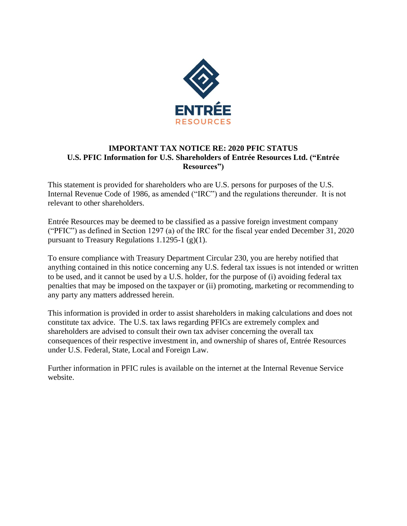

## **IMPORTANT TAX NOTICE RE: 2020 PFIC STATUS U.S. PFIC Information for U.S. Shareholders of Entrée Resources Ltd. ("Entrée Resources")**

This statement is provided for shareholders who are U.S. persons for purposes of the U.S. Internal Revenue Code of 1986, as amended ("IRC") and the regulations thereunder. It is not relevant to other shareholders.

Entrée Resources may be deemed to be classified as a passive foreign investment company ("PFIC") as defined in Section 1297 (a) of the IRC for the fiscal year ended December 31, 2020 pursuant to Treasury Regulations 1.1295-1  $(g)(1)$ .

To ensure compliance with Treasury Department Circular 230, you are hereby notified that anything contained in this notice concerning any U.S. federal tax issues is not intended or written to be used, and it cannot be used by a U.S. holder, for the purpose of (i) avoiding federal tax penalties that may be imposed on the taxpayer or (ii) promoting, marketing or recommending to any party any matters addressed herein.

This information is provided in order to assist shareholders in making calculations and does not constitute tax advice. The U.S. tax laws regarding PFICs are extremely complex and shareholders are advised to consult their own tax adviser concerning the overall tax consequences of their respective investment in, and ownership of shares of, Entrée Resources under U.S. Federal, State, Local and Foreign Law.

Further information in PFIC rules is available on the internet at the Internal Revenue Service website.